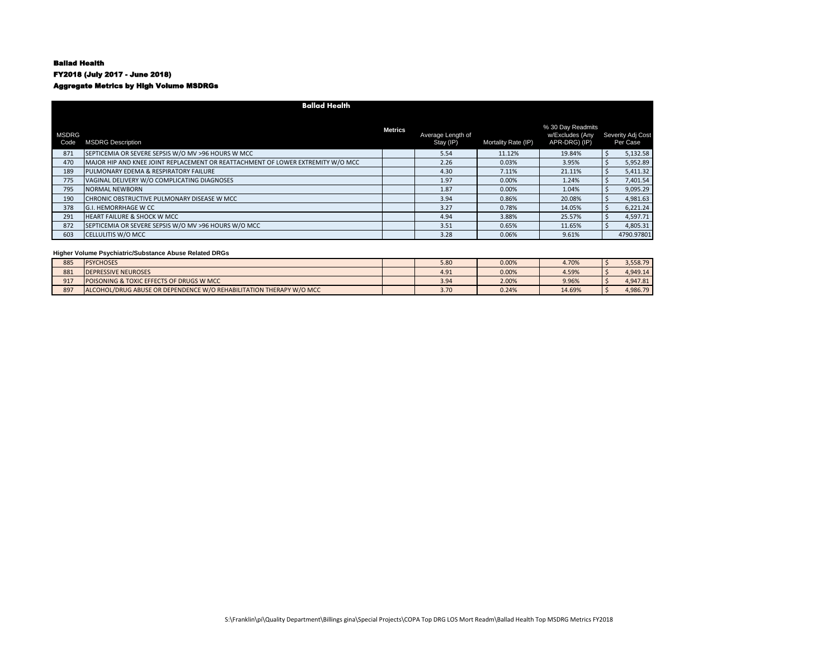## Ballad Health

FY2018 (July 2017 - June 2018)

# Aggregate Metrics by High Volume MSDRGs

|                      | <b>Ballad Health</b>                                                            |                |                                |                     |                                                       |  |                               |  |  |  |  |
|----------------------|---------------------------------------------------------------------------------|----------------|--------------------------------|---------------------|-------------------------------------------------------|--|-------------------------------|--|--|--|--|
| <b>MSDRG</b><br>Code | <b>MSDRG Description</b>                                                        | <b>Metrics</b> | Average Length of<br>Stay (IP) | Mortality Rate (IP) | % 30 Day Readmits<br>w/Excludes (Any<br>APR-DRG) (IP) |  | Severity Adj Cost<br>Per Case |  |  |  |  |
| 871                  | SEPTICEMIA OR SEVERE SEPSIS W/O MV >96 HOURS W MCC                              |                | 5.54                           | 11.12%              | 19.84%                                                |  | 5,132.58                      |  |  |  |  |
| 470                  | MAJOR HIP AND KNEE JOINT REPLACEMENT OR REATTACHMENT OF LOWER EXTREMITY W/O MCC |                | 2.26                           | 0.03%               | 3.95%                                                 |  | 5,952.89                      |  |  |  |  |
| 189                  | <b>PULMONARY EDEMA &amp; RESPIRATORY FAILURE</b>                                |                | 4.30                           | 7.11%               | 21.11%                                                |  | 5,411.32                      |  |  |  |  |
| 775                  | VAGINAL DELIVERY W/O COMPLICATING DIAGNOSES                                     |                | 1.97                           | 0.00%               | 1.24%                                                 |  | 7,401.54                      |  |  |  |  |
| 795                  | NORMAL NEWBORN                                                                  |                | 1.87                           | 0.00%               | 1.04%                                                 |  | 9,095.29                      |  |  |  |  |
| 190                  | CHRONIC OBSTRUCTIVE PULMONARY DISEASE W MCC                                     |                | 3.94                           | 0.86%               | 20.08%                                                |  | 4,981.63                      |  |  |  |  |
| 378                  | <b>G.I. HEMORRHAGE W CC</b>                                                     |                | 3.27                           | 0.78%               | 14.05%                                                |  | 6,221.24                      |  |  |  |  |
| 291                  | <b>HEART FAILURE &amp; SHOCK W MCC</b>                                          |                | 4.94                           | 3.88%               | 25.57%                                                |  | 4,597.71                      |  |  |  |  |
| 872                  | SEPTICEMIA OR SEVERE SEPSIS W/O MV >96 HOURS W/O MCC                            |                | 3.51                           | 0.65%               | 11.65%                                                |  | 4,805.31                      |  |  |  |  |
| 603                  | <b>CELLULITIS W/O MCC</b>                                                       |                | 3.28                           | 0.06%               | 9.61%                                                 |  | 4790.97801                    |  |  |  |  |

| 885 | <b>PSYCHOSES</b>                                                    | 5.80 | 0.00% | 4.70%  | 3,558.79 |
|-----|---------------------------------------------------------------------|------|-------|--------|----------|
| 881 | <b>DEPRESSIVE NEUROSES</b>                                          | 4.91 | 0.00% | 4.59%  | 4.949.14 |
| 917 | <b>POISONING &amp; TOXIC EFFECTS OF DRUGS W MCC</b>                 | 3.94 | 2.00% | 9.96%  | 4.947.81 |
| 897 | ALCOHOL/DRUG ABUSE OR DEPENDENCE W/O REHABILITATION THERAPY W/O MCC | 3.70 | 0.24% | 14.69% | 4.986.79 |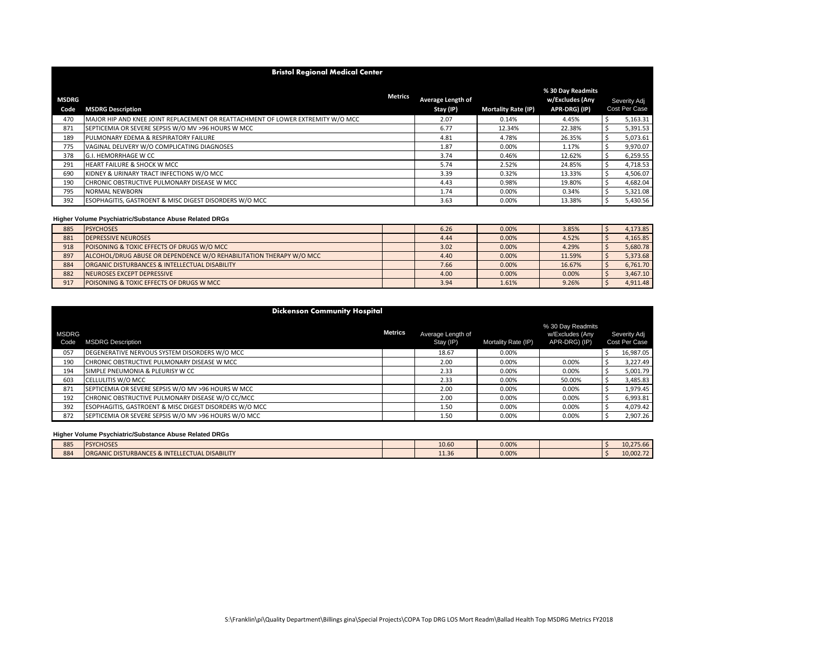|                      | <b>Bristol Regional Medical Center</b>                                          |                                |                            |                                                       |  |                               |  |  |  |  |  |
|----------------------|---------------------------------------------------------------------------------|--------------------------------|----------------------------|-------------------------------------------------------|--|-------------------------------|--|--|--|--|--|
| <b>MSDRG</b><br>Code | <b>Metrics</b><br><b>MSDRG Description</b>                                      | Average Length of<br>Stay (IP) | <b>Mortality Rate (IP)</b> | % 30 Day Readmits<br>w/Excludes (Any<br>APR-DRG) (IP) |  | Severity Adj<br>Cost Per Case |  |  |  |  |  |
| 470                  | MAJOR HIP AND KNEE JOINT REPLACEMENT OR REATTACHMENT OF LOWER EXTREMITY W/O MCC | 2.07                           | 0.14%                      | 4.45%                                                 |  | 5,163.31                      |  |  |  |  |  |
| 871                  | SEPTICEMIA OR SEVERE SEPSIS W/O MV >96 HOURS W MCC                              | 6.77                           | 12.34%                     | 22.38%                                                |  | 5,391.53                      |  |  |  |  |  |
| 189                  | PULMONARY EDEMA & RESPIRATORY FAILURE                                           | 4.81                           | 4.78%                      | 26.35%                                                |  | 5,073.61                      |  |  |  |  |  |
| 775                  | VAGINAL DELIVERY W/O COMPLICATING DIAGNOSES                                     | 1.87                           | 0.00%                      | 1.17%                                                 |  | 9.970.07                      |  |  |  |  |  |
| 378                  | <b>G.I. HEMORRHAGE W CC</b>                                                     | 3.74                           | 0.46%                      | 12.62%                                                |  | 6,259.55                      |  |  |  |  |  |
| 291                  | <b>HEART FAILURE &amp; SHOCK W MCC</b>                                          | 5.74                           | 2.52%                      | 24.85%                                                |  | 4,718.53                      |  |  |  |  |  |
| 690                  | KIDNEY & URINARY TRACT INFECTIONS W/O MCC                                       | 3.39                           | 0.32%                      | 13.33%                                                |  | 4,506.07                      |  |  |  |  |  |
| 190                  | CHRONIC OBSTRUCTIVE PULMONARY DISEASE W MCC                                     | 4.43                           | 0.98%                      | 19.80%                                                |  | 4,682.04                      |  |  |  |  |  |
| 795                  | <b>NORMAL NEWBORN</b>                                                           | 1.74                           | 0.00%                      | 0.34%                                                 |  | 5,321.08                      |  |  |  |  |  |
| 392                  | <b>ESOPHAGITIS, GASTROENT &amp; MISC DIGEST DISORDERS W/O MCC</b>               | 3.63                           | 0.00%                      | 13.38%                                                |  | 5,430.56                      |  |  |  |  |  |

| 885 | <b>PSYCHOSES</b>                                                    | 6.26 | 0.00% | 3.85%  | 4,173.85 |
|-----|---------------------------------------------------------------------|------|-------|--------|----------|
| 881 | <b>DEPRESSIVE NEUROSES</b>                                          | 4.44 | 0.00% | 4.52%  | 4,165.85 |
| 918 | POISONING & TOXIC EFFECTS OF DRUGS W/O MCC                          | 3.02 | 0.00% | 4.29%  | 5.680.78 |
| 897 | ALCOHOL/DRUG ABUSE OR DEPENDENCE W/O REHABILITATION THERAPY W/O MCC | 4.40 | 0.00% | 11.59% | 5,373.68 |
| 884 | ORGANIC DISTURBANCES & INTELLECTUAL DISABILITY                      | 7.66 | 0.00% | 16.67% | 6,761.70 |
| 882 | NEUROSES EXCEPT DEPRESSIVE                                          | 4.00 | 0.00% | 0.00%  | 3,467.10 |
| 917 | POISONING & TOXIC EFFECTS OF DRUGS W MCC                            | 3.94 | 1.61% | 9.26%  | 4.911.48 |

|                      | <b>Dickenson Community Hospital</b>                    |                |                                |                     |                                                       |                               |           |  |  |  |  |
|----------------------|--------------------------------------------------------|----------------|--------------------------------|---------------------|-------------------------------------------------------|-------------------------------|-----------|--|--|--|--|
| <b>MSDRG</b><br>Code | <b>MSDRG Description</b>                               | <b>Metrics</b> | Average Length of<br>Stay (IP) | Mortality Rate (IP) | % 30 Day Readmits<br>w/Excludes (Any<br>APR-DRG) (IP) | Severity Adj<br>Cost Per Case |           |  |  |  |  |
| 057                  | DEGENERATIVE NERVOUS SYSTEM DISORDERS W/O MCC          |                | 18.67                          | 0.00%               |                                                       |                               | 16,987.05 |  |  |  |  |
| 190                  | CHRONIC OBSTRUCTIVE PULMONARY DISEASE W MCC            |                | 2.00                           | 0.00%               | 0.00%                                                 |                               | 3,227.49  |  |  |  |  |
| 194                  | SIMPLE PNEUMONIA & PLEURISY W CC                       |                | 2.33                           | 0.00%               | 0.00%                                                 |                               | 5,001.79  |  |  |  |  |
| 603                  | CELLULITIS W/O MCC                                     |                | 2.33                           | 0.00%               | 50.00%                                                |                               | 3,485.83  |  |  |  |  |
| 871                  | SEPTICEMIA OR SEVERE SEPSIS W/O MV >96 HOURS W MCC     |                | 2.00                           | 0.00%               | 0.00%                                                 |                               | 1,979.45  |  |  |  |  |
| 192                  | CHRONIC OBSTRUCTIVE PULMONARY DISEASE W/O CC/MCC       |                | 2.00                           | 0.00%               | 0.00%                                                 |                               | 6,993.81  |  |  |  |  |
| 392                  | ESOPHAGITIS, GASTROENT & MISC DIGEST DISORDERS W/O MCC |                | 1.50                           | 0.00%               | 0.00%                                                 |                               | 4,079.42  |  |  |  |  |
| 872                  | SEPTICEMIA OR SEVERE SEPSIS W/O MV >96 HOURS W/O MCC   |                | 1.50                           | 0.00%               | 0.00%                                                 |                               | 2,907.26  |  |  |  |  |

| 885 | <b>PSYCHOSES</b>                               | 10.60                 | 0.00% |  | 10,275.66 |
|-----|------------------------------------------------|-----------------------|-------|--|-----------|
| 884 | ORGANIC DISTURBANCES & INTELLECTUAL DISABILITY | $\mathbf{A}$<br>11.36 | 0.00% |  | 10.002.72 |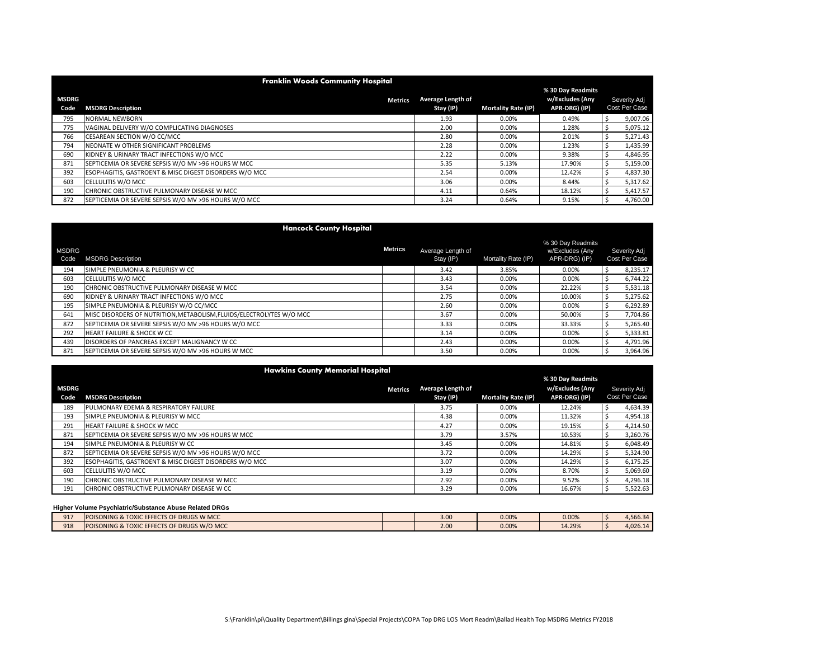|                      | <b>Franklin Woods Community Hospital</b>                          |                                |                            |                                                       |  |                               |  |  |  |  |  |  |  |
|----------------------|-------------------------------------------------------------------|--------------------------------|----------------------------|-------------------------------------------------------|--|-------------------------------|--|--|--|--|--|--|--|
| <b>MSDRG</b><br>Code | <b>Metrics</b><br><b>MSDRG Description</b>                        | Average Length of<br>Stay (IP) | <b>Mortality Rate (IP)</b> | % 30 Day Readmits<br>w/Excludes (Any<br>APR-DRG) (IP) |  | Severity Adj<br>Cost Per Case |  |  |  |  |  |  |  |
| 795                  | <b>NORMAL NEWBORN</b>                                             | 1.93                           | 0.00%                      | 0.49%                                                 |  | 9,007.06                      |  |  |  |  |  |  |  |
| 775                  | VAGINAL DELIVERY W/O COMPLICATING DIAGNOSES                       | 2.00                           | 0.00%                      | 1.28%                                                 |  | 5,075.12                      |  |  |  |  |  |  |  |
| 766                  | CESAREAN SECTION W/O CC/MCC                                       | 2.80                           | 0.00%                      | 2.01%                                                 |  | 5,271.43                      |  |  |  |  |  |  |  |
| 794                  | NEONATE W OTHER SIGNIFICANT PROBLEMS                              | 2.28                           | 0.00%                      | 1.23%                                                 |  | 1,435.99                      |  |  |  |  |  |  |  |
| 690                  | KIDNEY & URINARY TRACT INFECTIONS W/O MCC                         | 2.22                           | 0.00%                      | 9.38%                                                 |  | 4,846.95                      |  |  |  |  |  |  |  |
| 871                  | SEPTICEMIA OR SEVERE SEPSIS W/O MV >96 HOURS W MCC                | 5.35                           | 5.13%                      | 17.90%                                                |  | 5,159.00                      |  |  |  |  |  |  |  |
| 392                  | <b>ESOPHAGITIS, GASTROENT &amp; MISC DIGEST DISORDERS W/O MCC</b> | 2.54                           | 0.00%                      | 12.42%                                                |  | 4,837.30                      |  |  |  |  |  |  |  |
| 603                  | <b>CELLULITIS W/O MCC</b>                                         | 3.06                           | 0.00%                      | 8.44%                                                 |  | 5,317.62                      |  |  |  |  |  |  |  |
| 190                  | CHRONIC OBSTRUCTIVE PULMONARY DISEASE W MCC                       | 4.11                           | 0.64%                      | 18.12%                                                |  | 5,417.57                      |  |  |  |  |  |  |  |
| 872                  | SEPTICEMIA OR SEVERE SEPSIS W/O MV >96 HOURS W/O MCC              | 3.24                           | 0.64%                      | 9.15%                                                 |  | 4,760.00                      |  |  |  |  |  |  |  |

|                      | <b>Hancock County Hospital</b>                                             |                |                                |                     |                                                       |                               |
|----------------------|----------------------------------------------------------------------------|----------------|--------------------------------|---------------------|-------------------------------------------------------|-------------------------------|
| <b>MSDRG</b><br>Code | <b>MSDRG Description</b>                                                   | <b>Metrics</b> | Average Length of<br>Stay (IP) | Mortality Rate (IP) | % 30 Day Readmits<br>w/Excludes (Any<br>APR-DRG) (IP) | Severity Adj<br>Cost Per Case |
| 194                  | SIMPLE PNEUMONIA & PLEURISY W CC                                           |                | 3.42                           | 3.85%               | 0.00%                                                 | 8,235.17                      |
| 603                  | <b>CELLULITIS W/O MCC</b>                                                  |                | 3.43                           | 0.00%               | 0.00%                                                 | 6.744.22                      |
| 190                  | CHRONIC OBSTRUCTIVE PULMONARY DISEASE W MCC                                |                | 3.54                           | 0.00%               | 22.22%                                                | 5,531.18                      |
| 690                  | KIDNEY & URINARY TRACT INFECTIONS W/O MCC                                  |                | 2.75                           | 0.00%               | 10.00%                                                | 5,275.62                      |
| 195                  | SIMPLE PNEUMONIA & PLEURISY W/O CC/MCC                                     |                | 2.60                           | 0.00%               | 0.00%                                                 | 6,292.89                      |
| 641                  | <b>IMISC DISORDERS OF NUTRITION.METABOLISM.FLUIDS/ELECTROLYTES W/O MCC</b> |                | 3.67                           | 0.00%               | 50.00%                                                | 7,704.86                      |
| 872                  | SEPTICEMIA OR SEVERE SEPSIS W/O MV >96 HOURS W/O MCC                       |                | 3.33                           | 0.00%               | 33.33%                                                | 5,265.40                      |
| 292                  | <b>HEART FAILURE &amp; SHOCK W CC</b>                                      |                | 3.14                           | 0.00%               | 0.00%                                                 | 5,333.81                      |
| 439                  | DISORDERS OF PANCREAS EXCEPT MALIGNANCY W CC                               |                | 2.43                           | 0.00%               | 0.00%                                                 | 4,791.96                      |
| 871                  | SEPTICEMIA OR SEVERE SEPSIS W/O MV >96 HOURS W MCC                         |                | 3.50                           | 0.00%               | 0.00%                                                 | 3.964.96                      |

|              | <b>Hawkins County Memorial Hospital</b>                |                   |                            |                 |  |               |  |  |  |  |  |  |  |  |  |  |
|--------------|--------------------------------------------------------|-------------------|----------------------------|-----------------|--|---------------|--|--|--|--|--|--|--|--|--|--|
|              | % 30 Day Readmits                                      |                   |                            |                 |  |               |  |  |  |  |  |  |  |  |  |  |
| <b>MSDRG</b> | <b>Metrics</b>                                         | Average Length of |                            | w/Excludes (Any |  | Severity Adj  |  |  |  |  |  |  |  |  |  |  |
| Code         | <b>MSDRG Description</b>                               | Stay (IP)         | <b>Mortality Rate (IP)</b> | APR-DRG) (IP)   |  | Cost Per Case |  |  |  |  |  |  |  |  |  |  |
| 189          | PULMONARY EDEMA & RESPIRATORY FAILURE                  | 3.75              | 0.00%                      | 12.24%          |  | 4,634.39      |  |  |  |  |  |  |  |  |  |  |
| 193          | SIMPLE PNEUMONIA & PLEURISY W MCC                      | 4.38              | 0.00%                      | 11.32%          |  | 4,954.18      |  |  |  |  |  |  |  |  |  |  |
| 291          | <b>HEART FAILURE &amp; SHOCK W MCC</b>                 | 4.27              | 0.00%                      | 19.15%          |  | 4,214.50      |  |  |  |  |  |  |  |  |  |  |
| 871          | SEPTICEMIA OR SEVERE SEPSIS W/O MV >96 HOURS W MCC     | 3.79              | 3.57%                      | 10.53%          |  | 3,260.76      |  |  |  |  |  |  |  |  |  |  |
| 194          | SIMPLE PNEUMONIA & PLEURISY W CC                       | 3.45              | 0.00%                      | 14.81%          |  | 6.048.49      |  |  |  |  |  |  |  |  |  |  |
| 872          | SEPTICEMIA OR SEVERE SEPSIS W/O MV >96 HOURS W/O MCC   | 3.72              | 0.00%                      | 14.29%          |  | 5,324.90      |  |  |  |  |  |  |  |  |  |  |
| 392          | ESOPHAGITIS, GASTROENT & MISC DIGEST DISORDERS W/O MCC | 3.07              | 0.00%                      | 14.29%          |  | 6,175.25      |  |  |  |  |  |  |  |  |  |  |
| 603          | <b>CELLULITIS W/O MCC</b>                              | 3.19              | 0.00%                      | 8.70%           |  | 5,069.60      |  |  |  |  |  |  |  |  |  |  |
| 190          | CHRONIC OBSTRUCTIVE PULMONARY DISEASE W MCC            | 2.92              | 0.00%                      | 9.52%           |  | 4,296.18      |  |  |  |  |  |  |  |  |  |  |
| 191          | CHRONIC OBSTRUCTIVE PULMONARY DISEASE W CC             | 3.29              | 0.00%                      | 16.67%          |  | 5,522.63      |  |  |  |  |  |  |  |  |  |  |

| 917 | <b>DF DRUGS W MCC</b><br><b>POISONING &amp; TOXIC EFFECTS OF \</b> | 3.0C | 0.00% | 0.00%  | 4.566.34 |
|-----|--------------------------------------------------------------------|------|-------|--------|----------|
| 918 | <b>POISONING &amp; TOXIC EFFECTS OF DRUGS W/O MCC</b>              | 2.00 | 0.00% | 14.29% | 4.026.14 |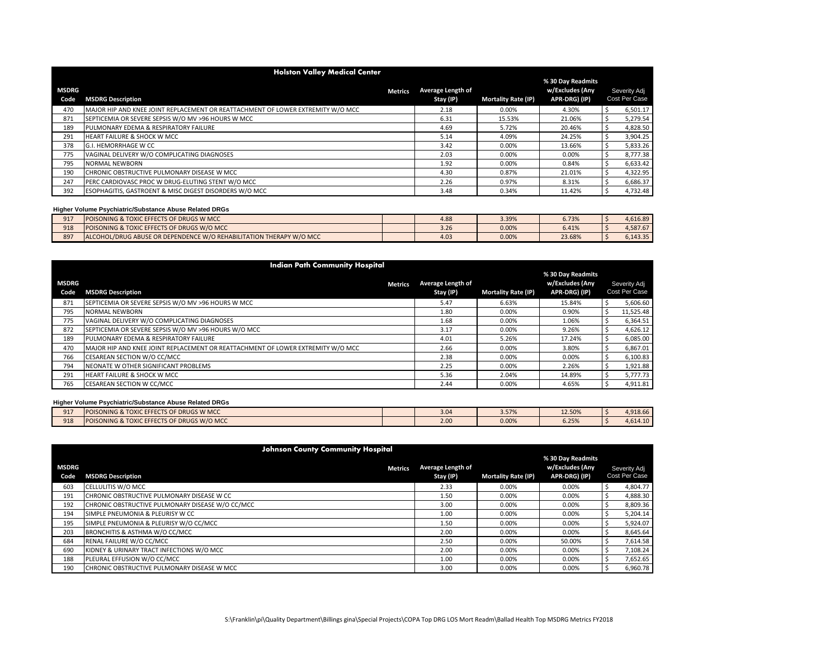|                      | <b>Holston Valley Medical Center</b>                                            |                                |                            |                                                       |  |                               |  |  |  |  |  |  |
|----------------------|---------------------------------------------------------------------------------|--------------------------------|----------------------------|-------------------------------------------------------|--|-------------------------------|--|--|--|--|--|--|
| <b>MSDRG</b><br>Code | <b>Metrics</b><br><b>MSDRG Description</b>                                      | Average Length of<br>Stay (IP) | <b>Mortality Rate (IP)</b> | % 30 Day Readmits<br>w/Excludes (Any<br>APR-DRG) (IP) |  | Severity Adj<br>Cost Per Case |  |  |  |  |  |  |
| 470                  | MAJOR HIP AND KNEE JOINT REPLACEMENT OR REATTACHMENT OF LOWER EXTREMITY W/O MCC | 2.18                           | 0.00%                      | 4.30%                                                 |  | 6,501.17                      |  |  |  |  |  |  |
| 871                  | SEPTICEMIA OR SEVERE SEPSIS W/O MV >96 HOURS W MCC                              | 6.31                           | 15.53%                     | 21.06%                                                |  | 5,279.54                      |  |  |  |  |  |  |
| 189                  | PULMONARY EDEMA & RESPIRATORY FAILURE                                           | 4.69                           | 5.72%                      | 20.46%                                                |  | 4,828.50                      |  |  |  |  |  |  |
| 291                  | HEART FAILURE & SHOCK W MCC                                                     | 5.14                           | 4.09%                      | 24.25%                                                |  | 3,904.25                      |  |  |  |  |  |  |
| 378                  | G.I. HEMORRHAGE W CC                                                            | 3.42                           | 0.00%                      | 13.66%                                                |  | 5,833.26                      |  |  |  |  |  |  |
| 775                  | VAGINAL DELIVERY W/O COMPLICATING DIAGNOSES                                     | 2.03                           | 0.00%                      | 0.00%                                                 |  | 8,777.38                      |  |  |  |  |  |  |
| 795                  | <b>NORMAL NEWBORN</b>                                                           | 1.92                           | 0.00%                      | 0.84%                                                 |  | 6,633.42                      |  |  |  |  |  |  |
| 190                  | CHRONIC OBSTRUCTIVE PULMONARY DISEASE W MCC                                     | 4.30                           | 0.87%                      | 21.01%                                                |  | 4,322.95                      |  |  |  |  |  |  |
| 247                  | PERC CARDIOVASC PROC W DRUG-ELUTING STENT W/O MCC                               | 2.26                           | 0.97%                      | 8.31%                                                 |  | 6,686.37                      |  |  |  |  |  |  |
| 392                  | ESOPHAGITIS, GASTROENT & MISC DIGEST DISORDERS W/O MCC                          | 3.48                           | 0.34%                      | 11.42%                                                |  | 4,732.48                      |  |  |  |  |  |  |

| 917 | POISONING & TOXIC EFFECTS OF DRUGS W MCC                            | 4.88             | 3.39% | 6.73%  | 4.616.89 |
|-----|---------------------------------------------------------------------|------------------|-------|--------|----------|
| 918 | POISONING & TOXIC EFFECTS OF DRUGS W/O MCC                          | 3.26             | 0.00% | 6.41%  | 4,587.67 |
| 897 | ALCOHOL/DRUG ABUSE OR DEPENDENCE W/O REHABILITATION THERAPY W/O MCC | 4.0 <sup>3</sup> | 0.00% | 23.68% | 6.143.35 |

|              | <b>Indian Path Community Hospital</b>                                           |                   |                            |                 |              |               |  |  |  |  |  |
|--------------|---------------------------------------------------------------------------------|-------------------|----------------------------|-----------------|--------------|---------------|--|--|--|--|--|
|              | % 30 Day Readmits                                                               |                   |                            |                 |              |               |  |  |  |  |  |
| <b>MSDRG</b> | <b>Metrics</b>                                                                  | Average Length of |                            | w/Excludes (Any | Severity Adj |               |  |  |  |  |  |
| Code         | <b>MSDRG Description</b>                                                        | Stay (IP)         | <b>Mortality Rate (IP)</b> | APR-DRG) (IP)   |              | Cost Per Case |  |  |  |  |  |
| 871          | SEPTICEMIA OR SEVERE SEPSIS W/O MV >96 HOURS W MCC                              | 5.47              | 6.63%                      | 15.84%          |              | 5,606.60      |  |  |  |  |  |
| 795          | NORMAL NEWBORN                                                                  | 1.80              | 0.00%                      | 0.90%           |              | 11,525.48     |  |  |  |  |  |
| 775          | VAGINAL DELIVERY W/O COMPLICATING DIAGNOSES                                     | 1.68              | 0.00%                      | 1.06%           |              | 6,364.51      |  |  |  |  |  |
| 872          | SEPTICEMIA OR SEVERE SEPSIS W/O MV >96 HOURS W/O MCC                            | 3.17              | 0.00%                      | 9.26%           |              | 4,626.12      |  |  |  |  |  |
| 189          | PULMONARY EDEMA & RESPIRATORY FAILURE                                           | 4.01              | 5.26%                      | 17.24%          |              | 6,085.00      |  |  |  |  |  |
| 470          | MAJOR HIP AND KNEE JOINT REPLACEMENT OR REATTACHMENT OF LOWER EXTREMITY W/O MCC | 2.66              | 0.00%                      | 3.80%           |              | 6,867.01      |  |  |  |  |  |
| 766          | CESAREAN SECTION W/O CC/MCC                                                     | 2.38              | 0.00%                      | 0.00%           |              | 6,100.83      |  |  |  |  |  |
| 794          | NEONATE W OTHER SIGNIFICANT PROBLEMS                                            | 2.25              | 0.00%                      | 2.26%           |              | 1,921.88      |  |  |  |  |  |
| 291          | HEART FAILURE & SHOCK W MCC                                                     | 5.36              | 2.04%                      | 14.89%          |              | 5,777.73      |  |  |  |  |  |
| 765          | <b>CESAREAN SECTION W CC/MCC</b>                                                | 2.44              | 0.00%                      | 4.65%           |              | 4,911.81      |  |  |  |  |  |

| 917 | DISONING & TOXIC EFFECTS OF DRUGS W MCC<br>POISONI    | 3.04 | 3.57% | 12.50%            | 4.918.66 |
|-----|-------------------------------------------------------|------|-------|-------------------|----------|
| 918 | <b>POISONING &amp; TOXIC EFFECTS OF DRUGS W/O MCC</b> | 2.00 | 0.00% | $C = 2E$<br>0.25% | 4.614.10 |

|                      | <b>Johnson County Community Hospital</b>         |                                |                            |                                                       |  |                               |  |  |  |  |  |
|----------------------|--------------------------------------------------|--------------------------------|----------------------------|-------------------------------------------------------|--|-------------------------------|--|--|--|--|--|
| <b>MSDRG</b><br>Code | <b>Metrics</b><br><b>MSDRG Description</b>       | Average Length of<br>Stay (IP) | <b>Mortality Rate (IP)</b> | % 30 Day Readmits<br>w/Excludes (Any<br>APR-DRG) (IP) |  | Severity Adj<br>Cost Per Case |  |  |  |  |  |
| 603                  | <b>CELLULITIS W/O MCC</b>                        | 2.33                           | 0.00%                      | 0.00%                                                 |  | 4.804.77                      |  |  |  |  |  |
| 191                  | CHRONIC OBSTRUCTIVE PULMONARY DISEASE W CC       | 1.50                           | 0.00%                      | 0.00%                                                 |  | 4,888.30                      |  |  |  |  |  |
| 192                  | CHRONIC OBSTRUCTIVE PULMONARY DISEASE W/O CC/MCC | 3.00                           | 0.00%                      | 0.00%                                                 |  | 8,809.36                      |  |  |  |  |  |
| 194                  | SIMPLE PNEUMONIA & PLEURISY W CC                 | 1.00                           | 0.00%                      | 0.00%                                                 |  | 5,204.14                      |  |  |  |  |  |
| 195                  | SIMPLE PNEUMONIA & PLEURISY W/O CC/MCC           | 1.50                           | 0.00%                      | 0.00%                                                 |  | 5,924.07                      |  |  |  |  |  |
| 203                  | BRONCHITIS & ASTHMA W/O CC/MCC                   | 2.00                           | 0.00%                      | 0.00%                                                 |  | 8,645.64                      |  |  |  |  |  |
| 684                  | RENAL FAILURE W/O CC/MCC                         | 2.50                           | 0.00%                      | 50.00%                                                |  | 7,614.58                      |  |  |  |  |  |
| 690                  | KIDNEY & URINARY TRACT INFECTIONS W/O MCC        | 2.00                           | 0.00%                      | 0.00%                                                 |  | 7.108.24                      |  |  |  |  |  |
| 188                  | PLEURAL EFFUSION W/O CC/MCC                      | 1.00                           | 0.00%                      | 0.00%                                                 |  | 7,652.65                      |  |  |  |  |  |
| 190                  | CHRONIC OBSTRUCTIVE PULMONARY DISEASE W MCC      | 3.00                           | 0.00%                      | 0.00%                                                 |  | 6.960.78                      |  |  |  |  |  |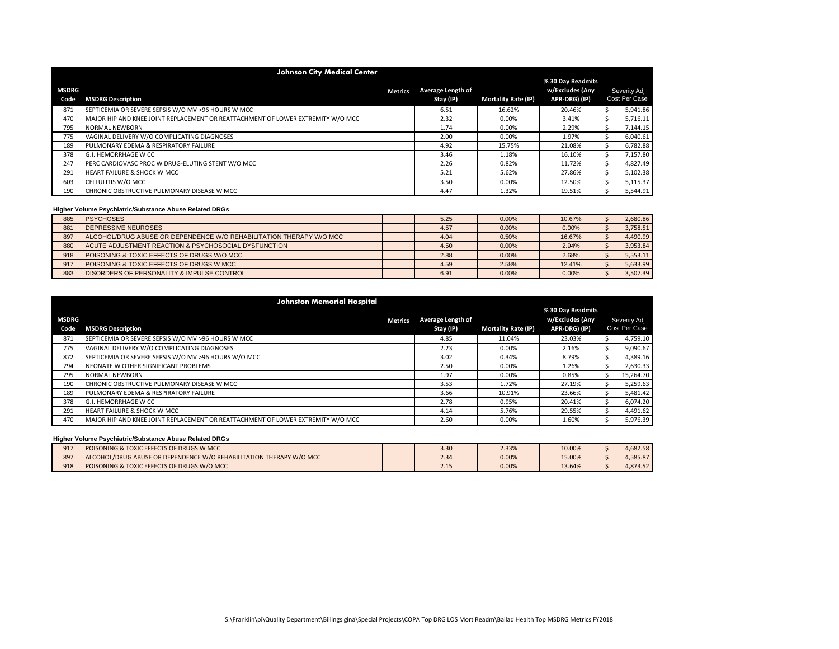|               | <b>Johnson City Medical Center</b>                                              |                                |                            |                                                       |  |          |  |  |  |  |  |
|---------------|---------------------------------------------------------------------------------|--------------------------------|----------------------------|-------------------------------------------------------|--|----------|--|--|--|--|--|
| MSDRG<br>Code | <b>Metrics</b><br><b>MSDRG Description</b>                                      | Average Length of<br>Stay (IP) | <b>Mortality Rate (IP)</b> | % 30 Day Readmits<br>w/Excludes (Any<br>APR-DRG) (IP) |  |          |  |  |  |  |  |
| 871           | SEPTICEMIA OR SEVERE SEPSIS W/O MV >96 HOURS W MCC                              | 6.51                           | 16.62%                     | 20.46%                                                |  | 5,941.86 |  |  |  |  |  |
| 470           | MAJOR HIP AND KNEE JOINT REPLACEMENT OR REATTACHMENT OF LOWER EXTREMITY W/O MCC | 2.32                           | 0.00%                      | 3.41%                                                 |  | 5,716.11 |  |  |  |  |  |
| 795           | <b>NORMAL NEWBORN</b>                                                           | 1.74                           | 0.00%                      | 2.29%                                                 |  | 7,144.15 |  |  |  |  |  |
| 775           | VAGINAL DELIVERY W/O COMPLICATING DIAGNOSES                                     | 2.00                           | 0.00%                      | 1.97%                                                 |  | 6,040.61 |  |  |  |  |  |
| 189           | PULMONARY EDEMA & RESPIRATORY FAILURE                                           | 4.92                           | 15.75%                     | 21.08%                                                |  | 6,782.88 |  |  |  |  |  |
| 378           | <b>G.I. HEMORRHAGE W CC</b>                                                     | 3.46                           | 1.18%                      | 16.10%                                                |  | 7,157.80 |  |  |  |  |  |
| 247           | PERC CARDIOVASC PROC W DRUG-ELUTING STENT W/O MCC                               | 2.26                           | 0.82%                      | 11.72%                                                |  | 4,827.49 |  |  |  |  |  |
| 291           | <b>HEART FAILURE &amp; SHOCK W MCC</b>                                          | 5.21                           | 5.62%                      | 27.86%                                                |  | 5,102.38 |  |  |  |  |  |
| 603           | <b>CELLULITIS W/O MCC</b>                                                       | 3.50                           | 0.00%                      | 12.50%                                                |  | 5,115.37 |  |  |  |  |  |
| 190           | CHRONIC OBSTRUCTIVE PULMONARY DISEASE W MCC                                     | 4.47                           | 1.32%                      | 19.51%                                                |  | 5,544.91 |  |  |  |  |  |

| 885 | <b>PSYCHOSES</b>                                                    | 5.25 | 0.00% | 10.67% | 2,680.86 |
|-----|---------------------------------------------------------------------|------|-------|--------|----------|
| 881 | <b>DEPRESSIVE NEUROSES</b>                                          | 4.57 | 0.00% | 0.00%  | 3,758.51 |
| 897 | ALCOHOL/DRUG ABUSE OR DEPENDENCE W/O REHABILITATION THERAPY W/O MCC | 4.04 | 0.50% | 16.67% | 4,490.99 |
| 880 | ACUTE ADJUSTMENT REACTION & PSYCHOSOCIAL DYSFUNCTION                | 4.50 | 0.00% | 2.94%  | 3,953.84 |
| 918 | POISONING & TOXIC EFFECTS OF DRUGS W/O MCC                          | 2.88 | 0.00% | 2.68%  | 5,553.11 |
| 917 | POISONING & TOXIC EFFECTS OF DRUGS W MCC                            | 4.59 | 2.58% | 12.41% | 5,633.99 |
| 883 | <b>DISORDERS OF PERSONALITY &amp; IMPULSE CONTROL</b>               | 6.91 | 0.00% | 0.00%  | 3,507.39 |

|                      | <b>Johnston Memorial Hospital</b>                                               |                                |                            |                                                       |                               |
|----------------------|---------------------------------------------------------------------------------|--------------------------------|----------------------------|-------------------------------------------------------|-------------------------------|
| <b>MSDRG</b><br>Code | <b>Metrics</b><br><b>MSDRG Description</b>                                      | Average Length of<br>Stay (IP) | <b>Mortality Rate (IP)</b> | % 30 Day Readmits<br>w/Excludes (Any<br>APR-DRG) (IP) | Severity Adj<br>Cost Per Case |
| 871                  | SEPTICEMIA OR SEVERE SEPSIS W/O MV >96 HOURS W MCC                              | 4.85                           | 11.04%                     | 23.03%                                                | 4,759.10                      |
| 775                  | VAGINAL DELIVERY W/O COMPLICATING DIAGNOSES                                     | 2.23                           | 0.00%                      | 2.16%                                                 | 9,090.67                      |
| 872                  | SEPTICEMIA OR SEVERE SEPSIS W/O MV >96 HOURS W/O MCC                            | 3.02                           | 0.34%                      | 8.79%                                                 | 4,389.16                      |
| 794                  | NEONATE W OTHER SIGNIFICANT PROBLEMS                                            | 2.50                           | 0.00%                      | 1.26%                                                 | 2,630.33                      |
| 795                  | NORMAL NEWBORN                                                                  | 1.97                           | 0.00%                      | 0.85%                                                 | 15,264.70                     |
| 190                  | CHRONIC OBSTRUCTIVE PULMONARY DISEASE W MCC                                     | 3.53                           | 1.72%                      | 27.19%                                                | 5,259.63                      |
| 189                  | PULMONARY EDEMA & RESPIRATORY FAILURE                                           | 3.66                           | 10.91%                     | 23.66%                                                | 5,481.42                      |
| 378                  | <b>G.I. HEMORRHAGE W CC</b>                                                     | 2.78                           | 0.95%                      | 20.41%                                                | 6,074.20                      |
| 291                  | <b>HEART FAILURE &amp; SHOCK W MCC</b>                                          | 4.14                           | 5.76%                      | 29.55%                                                | 4,491.62                      |
| 470                  | MAJOR HIP AND KNEE JOINT REPLACEMENT OR REATTACHMENT OF LOWER EXTREMITY W/O MCC | 2.60                           | 0.00%                      | 1.60%                                                 | 5,976.39                      |

| 917 | <b>POISONING &amp; TOXIC EFFECTS OF DRUGS W MCC</b>                 | 3.3 <sub>c</sub> | 2.33% | 10.00% | 4.682.58 |
|-----|---------------------------------------------------------------------|------------------|-------|--------|----------|
| 897 | LCOHOL/DRUG ABUSE OR DEPENDENCE W/O REHABILITATION THERAPY W/O MCC. | $\sim$<br>2.5    | 0.00% | 15.00% | 4,585.87 |
| 918 | POISONING & TOXIC EFFECTS OF DRUGS W/O MCC                          | 11<br>2.15       | 0.00% | 13.64% | 4.873.52 |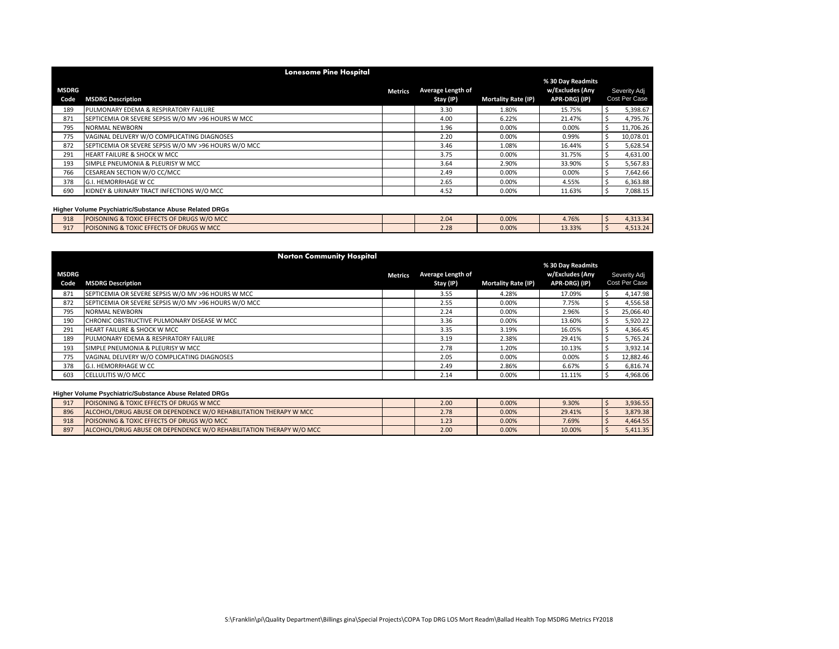|                      | <b>Lonesome Pine Hospital</b>                        |                |                                |                            |                                                       |                               |
|----------------------|------------------------------------------------------|----------------|--------------------------------|----------------------------|-------------------------------------------------------|-------------------------------|
| <b>MSDRG</b><br>Code | <b>MSDRG Description</b>                             | <b>Metrics</b> | Average Length of<br>Stay (IP) | <b>Mortality Rate (IP)</b> | % 30 Day Readmits<br>w/Excludes (Any<br>APR-DRG) (IP) | Severity Adj<br>Cost Per Case |
| 189                  | PULMONARY EDEMA & RESPIRATORY FAILURE                |                | 3.30                           | 1.80%                      | 15.75%                                                | 5,398.67                      |
| 871                  | SEPTICEMIA OR SEVERE SEPSIS W/O MV >96 HOURS W MCC   |                | 4.00                           | 6.22%                      | 21.47%                                                | 4,795.76                      |
| 795                  | <b>NORMAL NEWBORN</b>                                |                | 1.96                           | 0.00%                      | 0.00%                                                 | 11,706.26                     |
| 775                  | VAGINAL DELIVERY W/O COMPLICATING DIAGNOSES          |                | 2.20                           | 0.00%                      | 0.99%                                                 | 10,078.01                     |
| 872                  | SEPTICEMIA OR SEVERE SEPSIS W/O MV >96 HOURS W/O MCC |                | 3.46                           | 1.08%                      | 16.44%                                                | 5,628.54                      |
| 291                  | <b>HEART FAILURE &amp; SHOCK W MCC</b>               |                | 3.75                           | 0.00%                      | 31.75%                                                | 4,631.00                      |
| 193                  | SIMPLE PNEUMONIA & PLEURISY W MCC                    |                | 3.64                           | 2.90%                      | 33.90%                                                | 5,567.83                      |
| 766                  | CESAREAN SECTION W/O CC/MCC                          |                | 2.49                           | 0.00%                      | 0.00%                                                 | 7,642.66                      |
| 378                  | G.I. HEMORRHAGE W CC                                 |                | 2.65                           | 0.00%                      | 4.55%                                                 | 6,363.88                      |
| 690                  | KIDNEY & URINARY TRACT INFECTIONS W/O MCC            |                | 4.52                           | 0.00%                      | 11.63%                                                | 7,088.15                      |

| 918 | <b>POISONING &amp; TOXIC EFFECTS OF</b><br><b>DF DRUGS W/O MCC</b>           | 2 Q4<br>$\sim$ | 0.00% | 4.76%  | $212.21$<br>      |
|-----|------------------------------------------------------------------------------|----------------|-------|--------|-------------------|
| 917 | <b>TOXIC EFFECTS OF</b><br><b>DF DRUGS W MCC</b><br><b>POISONING &amp; Y</b> | 2.28           | 0.00% | 13.33% | 512.24<br>.513.24 |

|       |                                                      | <b>Norton Community Hospital</b> |                |                   |                            |                   |               |
|-------|------------------------------------------------------|----------------------------------|----------------|-------------------|----------------------------|-------------------|---------------|
|       |                                                      |                                  |                |                   |                            | % 30 Day Readmits |               |
| MSDRG |                                                      |                                  | <b>Metrics</b> | Average Length of |                            | w/Excludes (Any   | Severity Adj  |
| Code  | <b>MSDRG Description</b>                             |                                  |                | Stay (IP)         | <b>Mortality Rate (IP)</b> | APR-DRG) (IP)     | Cost Per Case |
| 871   | SEPTICEMIA OR SEVERE SEPSIS W/O MV >96 HOURS W MCC   |                                  |                | 3.55              | 4.28%                      | 17.09%            | 4,147.98      |
| 872   | SEPTICEMIA OR SEVERE SEPSIS W/O MV >96 HOURS W/O MCC |                                  |                | 2.55              | 0.00%                      | 7.75%             | 4,556.58      |
| 795   | NORMAL NEWBORN                                       |                                  |                | 2.24              | 0.00%                      | 2.96%             | 25,066.40     |
| 190   | CHRONIC OBSTRUCTIVE PULMONARY DISEASE W MCC          |                                  |                | 3.36              | 0.00%                      | 13.60%            | 5,920.22      |
| 291   | <b>HEART FAILURE &amp; SHOCK W MCC</b>               |                                  |                | 3.35              | 3.19%                      | 16.05%            | 4,366.45      |
| 189   | PULMONARY EDEMA & RESPIRATORY FAILURE                |                                  |                | 3.19              | 2.38%                      | 29.41%            | 5,765.24      |
| 193   | SIMPLE PNEUMONIA & PLEURISY W MCC                    |                                  |                | 2.78              | 1.20%                      | 10.13%            | 3,932.14      |
| 775   | VAGINAL DELIVERY W/O COMPLICATING DIAGNOSES          |                                  |                | 2.05              | 0.00%                      | 0.00%             | 12,882.46     |
| 378   | G.I. HEMORRHAGE W CC                                 |                                  |                | 2.49              | 2.86%                      | 6.67%             | 6,816.74      |
| 603   | <b>CELLULITIS W/O MCC</b>                            |                                  |                | 2.14              | 0.00%                      | 11.11%            | 4,968.06      |

| 917 | <b>POISONING &amp; TOXIC EFFECTS OF DRUGS W MCC</b>                      | 2.00 | 0.00% | 9.30%  | 3.936.55 |
|-----|--------------------------------------------------------------------------|------|-------|--------|----------|
| 896 | <b>ALCOHOL/DRUG ABUSE OR DEPENDENCE W/O REHABILITATION THERAPY W MCC</b> | 2.78 | 0.00% | 29.41% | 3.879.38 |
| 918 | <b>POISONING &amp; TOXIC EFFECTS OF DRUGS W/O MCC</b>                    | 1.23 | 0.00% | 7.69%  | 4.464.55 |
| 897 | ALCOHOL/DRUG ABUSE OR DEPENDENCE W/O REHABILITATION THERAPY W/O MCC      | 2.00 | 0.00% | 10.00% | 5.411.35 |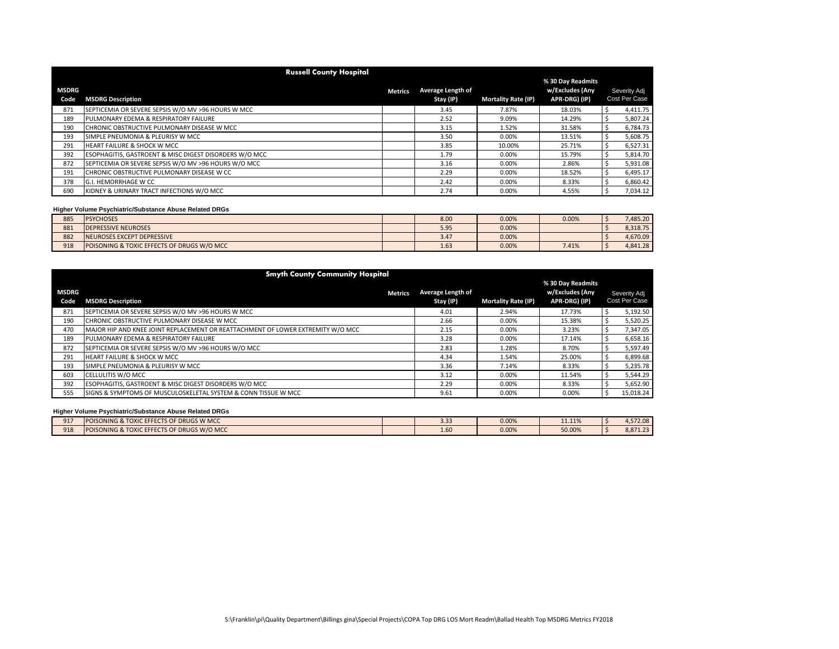|                      | <b>Russell County Hospital</b>                         |                |                                |                            |                                                       |                               |
|----------------------|--------------------------------------------------------|----------------|--------------------------------|----------------------------|-------------------------------------------------------|-------------------------------|
| <b>MSDRG</b><br>Code | <b>MSDRG Description</b>                               | <b>Metrics</b> | Average Length of<br>Stay (IP) | <b>Mortality Rate (IP)</b> | % 30 Day Readmits<br>w/Excludes (Any<br>APR-DRG) (IP) | Severity Adj<br>Cost Per Case |
| 871                  | SEPTICEMIA OR SEVERE SEPSIS W/O MV >96 HOURS W MCC     |                | 3.45                           | 7.87%                      | 18.03%                                                | 4,411.75                      |
| 189                  | PULMONARY EDEMA & RESPIRATORY FAILURE                  |                | 2.52                           | 9.09%                      | 14.29%                                                | 5,807.24                      |
| 190                  | CHRONIC OBSTRUCTIVE PULMONARY DISEASE W MCC            |                | 3.15                           | 1.52%                      | 31.58%                                                | 6,784.73                      |
| 193                  | SIMPLE PNEUMONIA & PLEURISY W MCC                      |                | 3.50                           | 0.00%                      | 13.51%                                                | 5,608.75                      |
| 291                  | <b>HEART FAILURE &amp; SHOCK W MCC</b>                 |                | 3.85                           | 10.00%                     | 25.71%                                                | 6,527.31                      |
| 392                  | ESOPHAGITIS, GASTROENT & MISC DIGEST DISORDERS W/O MCC |                | 1.79                           | 0.00%                      | 15.79%                                                | 5,814.70                      |
| 872                  | SEPTICEMIA OR SEVERE SEPSIS W/O MV >96 HOURS W/O MCC   |                | 3.16                           | 0.00%                      | 2.86%                                                 | 5,931.08                      |
| 191                  | CHRONIC OBSTRUCTIVE PULMONARY DISEASE W CC             |                | 2.29                           | 0.00%                      | 18.52%                                                | 6,495.17                      |
| 378                  | G.I. HEMORRHAGE W CC                                   |                | 2.42                           | 0.00%                      | 8.33%                                                 | 6,860.42                      |
| 690                  | KIDNEY & URINARY TRACT INFECTIONS W/O MCC              |                | 2.74                           | 0.00%                      | 4.55%                                                 | 7,034.12                      |

| 885 | <b>PSYCHOSES</b>                           | 8.00 | 0.00% | 0.00% | 485.20   |
|-----|--------------------------------------------|------|-------|-------|----------|
| 881 | <b>DEPRESSIVE NEUROSES</b>                 | 5.95 | 0.00% |       | 8.318.75 |
| 882 | NEUROSES EXCEPT DEPRESSIVE                 | 3.4. | 0.00% |       | 4.670.09 |
| 918 | POISONING & TOXIC EFFECTS OF DRUGS W/O MCC | 1.63 | 0.00% | 7.41% | 4.841.28 |

| <b>Smyth County Community Hospital</b> |                                                                                 |                   |                            |                   |  |               |  |  |
|----------------------------------------|---------------------------------------------------------------------------------|-------------------|----------------------------|-------------------|--|---------------|--|--|
|                                        |                                                                                 |                   |                            | % 30 Day Readmits |  |               |  |  |
| <b>MSDRG</b>                           | <b>Metrics</b>                                                                  | Average Length of |                            | w/Excludes (Any   |  | Severity Adj  |  |  |
| Code                                   | <b>MSDRG Description</b>                                                        | Stay (IP)         | <b>Mortality Rate (IP)</b> | APR-DRG) (IP)     |  | Cost Per Case |  |  |
| 871                                    | SEPTICEMIA OR SEVERE SEPSIS W/O MV >96 HOURS W MCC                              | 4.01              | 2.94%                      | 17.73%            |  | 5,192.50      |  |  |
| 190                                    | CHRONIC OBSTRUCTIVE PULMONARY DISEASE W MCC                                     | 2.66              | 0.00%                      | 15.38%            |  | 5,520.25      |  |  |
| 470                                    | MAJOR HIP AND KNEE JOINT REPLACEMENT OR REATTACHMENT OF LOWER EXTREMITY W/O MCC | 2.15              | 0.00%                      | 3.23%             |  | 7,347.05      |  |  |
| 189                                    | PULMONARY EDEMA & RESPIRATORY FAILURE                                           | 3.28              | 0.00%                      | 17.14%            |  | 6,658.16      |  |  |
| 872                                    | SEPTICEMIA OR SEVERE SEPSIS W/O MV >96 HOURS W/O MCC                            | 2.83              | 1.28%                      | 8.70%             |  | 5,597.49      |  |  |
| 291                                    | <b>HEART FAILURE &amp; SHOCK W MCC</b>                                          | 4.34              | 1.54%                      | 25.00%            |  | 6,899.68      |  |  |
| 193                                    | SIMPLE PNEUMONIA & PLEURISY W MCC                                               | 3.36              | 7.14%                      | 8.33%             |  | 5,235.78      |  |  |
| 603                                    | CELLULITIS W/O MCC                                                              | 3.12              | 0.00%                      | 11.54%            |  | 5,544.29      |  |  |
| 392                                    | ESOPHAGITIS, GASTROENT & MISC DIGEST DISORDERS W/O MCC                          | 2.29              | 0.00%                      | 8.33%             |  | 5,652.90      |  |  |
| 555                                    | SIGNS & SYMPTOMS OF MUSCULOSKELETAL SYSTEM & CONN TISSUE W MCC                  | 9.61              | 0.00%                      | 0.00%             |  | 15,018.24     |  |  |

| $Q1$ <sup>-</sup> | FECTS OF DRUGS W MCC<br><b>CEECCTC</b><br><b>POISONING &amp; T.</b><br><b>TOXIC</b><br>--- | 22<br>3.33 | 0.00% | 11 110/<br>11.1170 | 1.572.08 |
|-------------------|--------------------------------------------------------------------------------------------|------------|-------|--------------------|----------|
| 918               | EFFECTS OF DRUGS W/O MCC<br><b>POISONING &amp; TOXIC EFI</b><br>.                          | <b>LU</b>  | 0.00% | 50.00%             | 8.871.23 |